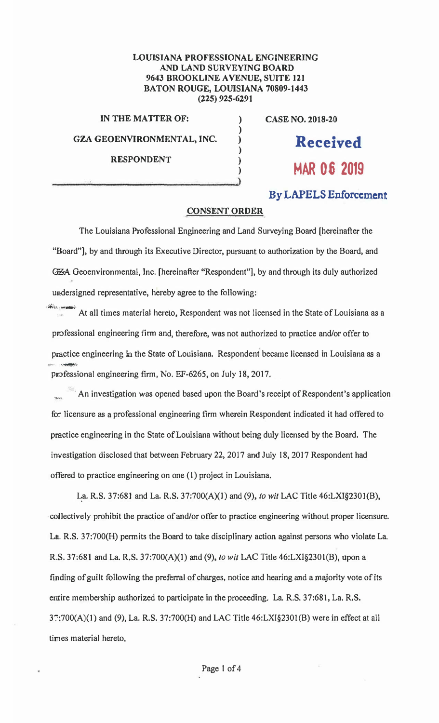## **LOUISIANA PROFESSIONAL ENGINEERING AND LAND SURVEYING** BOARD **9643 BROOKLINE A VENUE, SUITE 121 BATON** ROUGE, LOUISIANA 70809-1443 (225) 925-6291

**) ) ) ) ) )** 

**IN THE MATTER OF:** 

**GZA GEOENVIRONMENTAL, INC.** 

**CASE NO. 2018-20** 

**Received** 

RESPONDENT  $\overrightarrow{MAR}$  06 2019

## **By LAPELS Enforcement**

## **CONSENT ORDER**

The Louisiana Professional Engineering and Land Surveying Board [hereinafter the "Board"], by and through its Executive Director, pursuant to authorization by the Board, and GZA Geoenvironmental, Inc. [hereinafter "Respondent"], by and through its duly authorized undersigned representative, hereby agree to the following:

i. White is the design At all times material hereto, Respondent was not licensed in the State of Louisiana as a professional engineering firm and, therefore, was not authorized to practice and/or offer to practice engineering in the State of Louisiana. Respondent became licensed in Louisiana as a professional engineering firm, No. EF-6265, on July 18, 2017.

<sup>361</sup> An investigation was opened based upon the Board's receipt of Respondent's application for licensure as a professional engineering firm wherein Respondent indicated it had offered to practice engineering in the State of Louisiana without being duly licensed by the Board. The investigation disclosed that between February 22, 2017 and July 18, 2017 Respondent had offered to practice engineering on one (I) project in Louisiana.

**�a.** R.S. 37:681 and La. R.S. 37:700(A)(l) and (9), *to wit* LAC Title 46:LXI§230l(B), ,coUectively prohibit the practice of and/or offer to practice engineering without.proper licensure. La. R.S. 37:700(H) permits the Board to take disciplinary action against persons who violate La. R.S. 37:681 and La. R.S. 37:700(A)(l) and (9), *to wit* LAC Title 46:LXl§2301(B), upon a finding of guilt following the preferral of charges, notice and hearing and a majority vote of its entire membership authorized to participate in the proceeding. La. R.S. 37:681, La. R.S. 3::700(A){1) and (9), La. R.S. 37:700(H) and LAC Title 46:LXI§230l(B) were in effect at all times material hereto.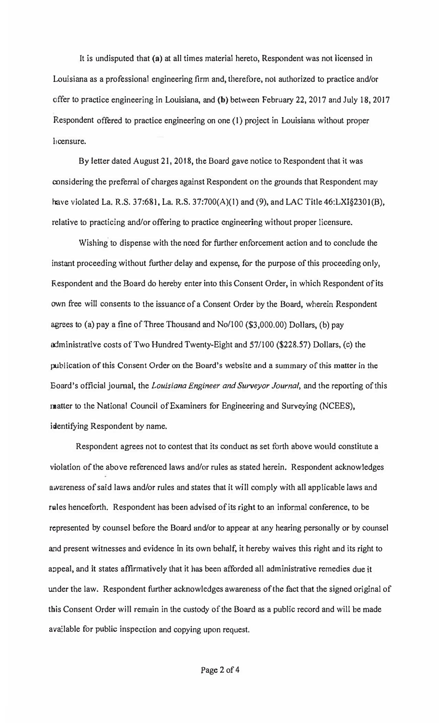It is undisputed that (a) at all times material hereto, Respondent was not licensed in Louisiana as a professional engineering firm and, therefore, not authorized to practice and/or offer to practice engineering in Louisiana, and (b) between February 22, 2017 and July 18, 2017 Respondent offered to practice engineering on one (1) project in Louisiana without proper l<sub>i</sub>censure.

By letter dated August 21, 2018, the Board gave notice to Respondent that it was considering the preferral of charges against Respondent on the grounds that Respondent may have violated La. R.S. 37:681, La. R.S. 37:700(A)(l) and (9), and LAC Title 46:LXI§230I(B), relative to practicing and/or offering to practice engineering without proper licensure.

Wishing to dispense with the need for further enforcement action and to conclude the instant proceeding without further delay and expense, for the purpose of this proceeding only, Respondent and the Board do hereby enter into this Consent Order, in which Respondent of its own free will consents to the issuance of a Consent Order by the Board, wherein Respondent agrees to (a) pay a fine of Three Thousand and No/100 (\$3,000.00) DoJJars, (b) pay administrative costs of Two Hundred Twenty-Eight and 57/100 (\$228.57) Dollars, (c) the publication of this Consent Order on the Board's website and a summary of this matter in the Board's official journal, the *Louisiana Engineer and Surveyor Journal,* and the reporting of this matter to the National Council of Examiners for Engineering and Surveying (NCEES), f identifying Respondent by name.

Respondent agrees not to contest that its conduct as set forth above would constitute a violation of the above referenced laws and/or rules as stated herein. Respondent acknowledges awareness of said laws and/or rules and states that it will comply with all applicable laws and rules henceforth. Respondent has been advised of its right to an informal conference, to be represented by counsel before the Board and/or to appear at any hearing personally or by counsel and present witnesses and evidence in its own behalf, it hereby waives this right and its right to appeal, and it states affirmatively that it has been afforded all administrative remedies due it under the law. Respondent further acknowledges awareness of the fact that the signed original of this Consent Order will remain in the custody of the Board as a public record and will be made ava:lable for public inspection and copying upon request.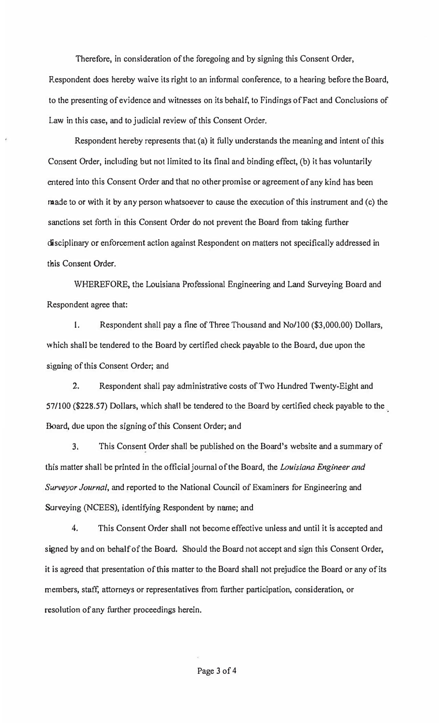Therefore, in consideration of the foregoing and by signing this Consent Order, Respondent does hereby waive its right to an informal conference, to a hearing before the Board, to the presenting of evidence and witnesses on its behalf, to Findings of Fact and Conclusions of Law in this case, and to judicial review of this Consent Order.

Respondent hereby represents that (a) it fully understands the meaning and intent of this Consent Order, including but not limited to its final and binding effect, (b) it has voluntarily entered into this Consent Order and that no other promise or agreement of any kind has been made to or with it by any person whatsoever to cause the execution of this instrument and (c) the sanctions set forth in this Consent Order do not prevent the Board from taking further disciplinary or enforcement action against Respondent on matters not specifically addressed in this Consent Order.

WHEREFORE, the Louisiana Professional Engineering and Land Surveying Board and Respondent agree that:

I. Respondent shall pay a fine of Three Thousand and No/100 (\$3,000.00) Dollars, which shall be tendered to the Board by certified check payable to the Board, due upon the sjgning of this Consent Order; and

2. Respondent shall pay administrative costs of Two Hundred Twenty-Eight and 57/100 (\$228.57) Dollars, which shall be tendered to the Board by certified check payable to the Board, due upon the signing of this Consent Order; and

3. This Consent Order shall be published on the Board's website and a summary of this matter shall be printed in the official journal of the Board, the *Louisiana Engineer and Surveyor Journal,* and reported to the National Council of Examiners for Engineering and Surveying (NCEES), identifying Respondent by name; and

4. This Consent Order shall not become effective unless and until it is accepted and signed by and on behalf of the Board. Should the Board not accept and sign this Consent Order, it is agreed that presentation of this matter to the Board shall not prejudice the Board or any of its members, staff, attorneys or representatives from further participation, consideration, or resolution of any further proceedings herein.